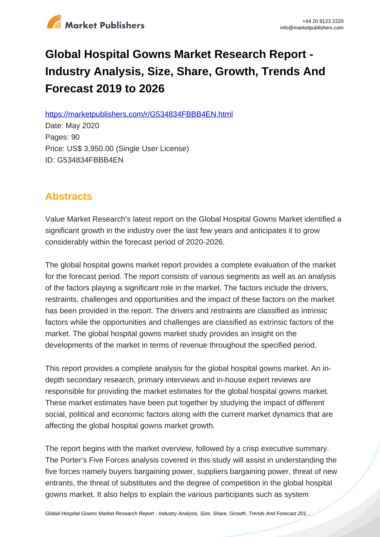

# **Global Hospital Gowns Market Research Report - Industry Analysis, Size, Share, Growth, Trends And Forecast 2019 to 2026**

https://marketpublishers.com/r/G534834FBBB4EN.html

Date: May 2020 Pages: 90 Price: US\$ 3,950.00 (Single User License) ID: G534834FBBB4EN

## **Abstracts**

Value Market Research's latest report on the Global Hospital Gowns Market identified a significant growth in the industry over the last few years and anticipates it to grow considerably within the forecast period of 2020-2026.

The global hospital gowns market report provides a complete evaluation of the market for the forecast period. The report consists of various segments as well as an analysis of the factors playing a significant role in the market. The factors include the drivers, restraints, challenges and opportunities and the impact of these factors on the market has been provided in the report. The drivers and restraints are classified as intrinsic factors while the opportunities and challenges are classified as extrinsic factors of the market. The global hospital gowns market study provides an insight on the developments of the market in terms of revenue throughout the specified period.

This report provides a complete analysis for the global hospital gowns market. An indepth secondary research, primary interviews and in-house expert reviews are responsible for providing the market estimates for the global hospital gowns market. These market estimates have been put together by studying the impact of different social, political and economic factors along with the current market dynamics that are affecting the global hospital gowns market growth.

The report begins with the market overview, followed by a crisp executive summary. The Porter's Five Forces analysis covered in this study will assist in understanding the five forces namely buyers bargaining power, suppliers bargaining power, threat of new entrants, the threat of substitutes and the degree of competition in the global hospital gowns market. It also helps to explain the various participants such as system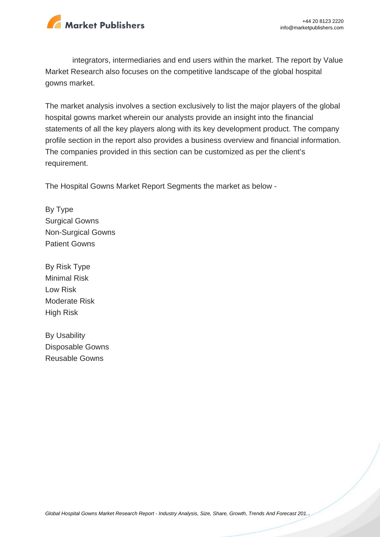

integrators, intermediaries and end users within the market. The report by Value Market Research also focuses on the competitive landscape of the global hospital gowns market.

The market analysis involves a section exclusively to list the major players of the global hospital gowns market wherein our analysts provide an insight into the financial statements of all the key players along with its key development product. The company profile section in the report also provides a business overview and financial information. The companies provided in this section can be customized as per the client's requirement.

The Hospital Gowns Market Report Segments the market as below -

By Type Surgical Gowns Non-Surgical Gowns Patient Gowns

By Risk Type Minimal Risk Low Risk Moderate Risk High Risk

By Usability Disposable Gowns Reusable Gowns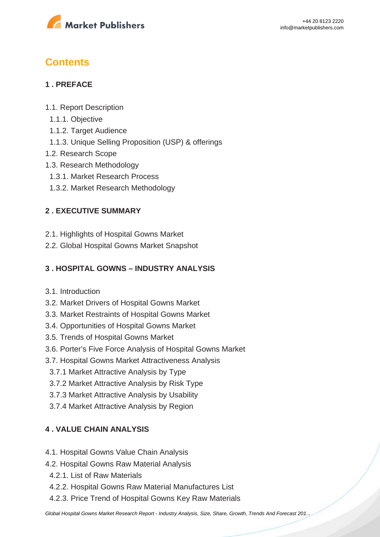

## **Contents**

## **1 . PREFACE**

- 1.1. Report Description
- 1.1.1. Objective
- 1.1.2. Target Audience
- 1.1.3. Unique Selling Proposition (USP) & offerings
- 1.2. Research Scope
- 1.3. Research Methodology
- 1.3.1. Market Research Process
- 1.3.2. Market Research Methodology

## **2 . EXECUTIVE SUMMARY**

- 2.1. Highlights of Hospital Gowns Market
- 2.2. Global Hospital Gowns Market Snapshot

## **3 . HOSPITAL GOWNS – INDUSTRY ANALYSIS**

- 3.1. Introduction
- 3.2. Market Drivers of Hospital Gowns Market
- 3.3. Market Restraints of Hospital Gowns Market
- 3.4. Opportunities of Hospital Gowns Market
- 3.5. Trends of Hospital Gowns Market
- 3.6. Porter's Five Force Analysis of Hospital Gowns Market
- 3.7. Hospital Gowns Market Attractiveness Analysis
- 3.7.1 Market Attractive Analysis by Type
- 3.7.2 Market Attractive Analysis by Risk Type
- 3.7.3 Market Attractive Analysis by Usability
- 3.7.4 Market Attractive Analysis by Region

## **4 . VALUE CHAIN ANALYSIS**

- 4.1. Hospital Gowns Value Chain Analysis
- 4.2. Hospital Gowns Raw Material Analysis
	- 4.2.1. List of Raw Materials
	- 4.2.2. Hospital Gowns Raw Material Manufactures List
	- 4.2.3. Price Trend of Hospital Gowns Key Raw Materials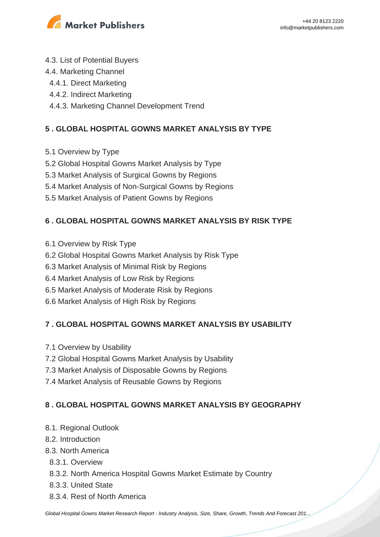

- 4.3. List of Potential Buyers
- 4.4. Marketing Channel
- 4.4.1. Direct Marketing
- 4.4.2. Indirect Marketing
- 4.4.3. Marketing Channel Development Trend

## **5 . GLOBAL HOSPITAL GOWNS MARKET ANALYSIS BY TYPE**

- 5.1 Overview by Type
- 5.2 Global Hospital Gowns Market Analysis by Type
- 5.3 Market Analysis of Surgical Gowns by Regions
- 5.4 Market Analysis of Non-Surgical Gowns by Regions
- 5.5 Market Analysis of Patient Gowns by Regions

## **6 . GLOBAL HOSPITAL GOWNS MARKET ANALYSIS BY RISK TYPE**

- 6.1 Overview by Risk Type
- 6.2 Global Hospital Gowns Market Analysis by Risk Type
- 6.3 Market Analysis of Minimal Risk by Regions
- 6.4 Market Analysis of Low Risk by Regions
- 6.5 Market Analysis of Moderate Risk by Regions
- 6.6 Market Analysis of High Risk by Regions

## **7 . GLOBAL HOSPITAL GOWNS MARKET ANALYSIS BY USABILITY**

- 7.1 Overview by Usability
- 7.2 Global Hospital Gowns Market Analysis by Usability
- 7.3 Market Analysis of Disposable Gowns by Regions
- 7.4 Market Analysis of Reusable Gowns by Regions

## **8 . GLOBAL HOSPITAL GOWNS MARKET ANALYSIS BY GEOGRAPHY**

- 8.1. Regional Outlook
- 8.2. Introduction
- 8.3. North America
	- 8.3.1. Overview
	- 8.3.2. North America Hospital Gowns Market Estimate by Country
	- 8.3.3. United State
	- 8.3.4. Rest of North America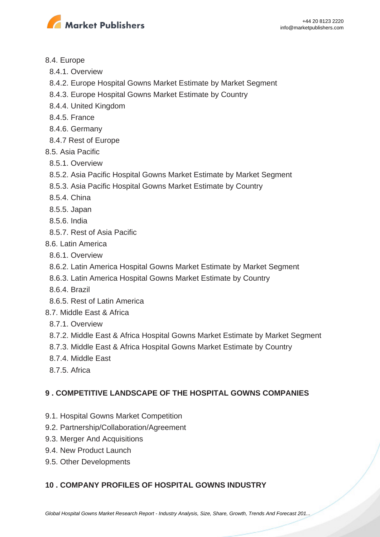

#### 8.4. Europe

- 8.4.1. Overview
- 8.4.2. Europe Hospital Gowns Market Estimate by Market Segment
- 8.4.3. Europe Hospital Gowns Market Estimate by Country
- 8.4.4. United Kingdom
- 8.4.5. France
- 8.4.6. Germany
- 8.4.7 Rest of Europe
- 8.5. Asia Pacific
	- 8.5.1. Overview
	- 8.5.2. Asia Pacific Hospital Gowns Market Estimate by Market Segment
	- 8.5.3. Asia Pacific Hospital Gowns Market Estimate by Country
	- 8.5.4. China
	- 8.5.5. Japan
	- 8.5.6. India
	- 8.5.7. Rest of Asia Pacific
- 8.6. Latin America
- 8.6.1. Overview
- 8.6.2. Latin America Hospital Gowns Market Estimate by Market Segment
- 8.6.3. Latin America Hospital Gowns Market Estimate by Country
- 8.6.4. Brazil
- 8.6.5. Rest of Latin America
- 8.7. Middle East & Africa
	- 8.7.1. Overview
	- 8.7.2. Middle East & Africa Hospital Gowns Market Estimate by Market Segment
	- 8.7.3. Middle East & Africa Hospital Gowns Market Estimate by Country
	- 8.7.4. Middle East
	- 8.7.5. Africa

## **9 . COMPETITIVE LANDSCAPE OF THE HOSPITAL GOWNS COMPANIES**

- 9.1. Hospital Gowns Market Competition
- 9.2. Partnership/Collaboration/Agreement
- 9.3. Merger And Acquisitions
- 9.4. New Product Launch
- 9.5. Other Developments

## **10 . COMPANY PROFILES OF HOSPITAL GOWNS INDUSTRY**

[Global Hospital Gowns Market Research Report - Industry Analysis, Size, Share, Growth, Trends And Forecast 201...](https://marketpublishers.com/report/healthcare/hospital/global-hospital-gowns-market-research-report-industry-analysis-size-share-growth-trends-n-forecast-2019-to-2026.html)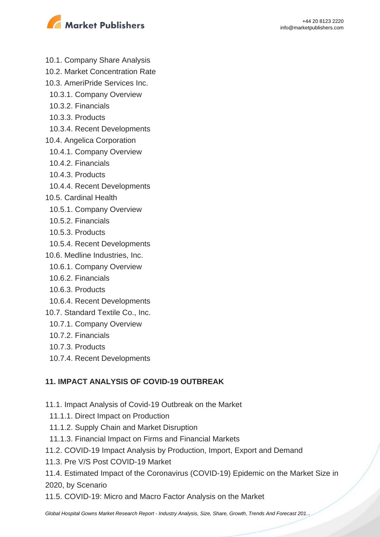



- 10.1. Company Share Analysis
- 10.2. Market Concentration Rate
- 10.3. AmeriPride Services Inc.
	- 10.3.1. Company Overview
	- 10.3.2. Financials
	- 10.3.3. Products
	- 10.3.4. Recent Developments
- 10.4. Angelica Corporation
- 10.4.1. Company Overview
- 10.4.2. Financials
- 10.4.3. Products
- 10.4.4. Recent Developments
- 10.5. Cardinal Health
	- 10.5.1. Company Overview
	- 10.5.2. Financials
	- 10.5.3. Products
- 10.5.4. Recent Developments
- 10.6. Medline Industries, Inc.
	- 10.6.1. Company Overview
	- 10.6.2. Financials
	- 10.6.3. Products
- 10.6.4. Recent Developments
- 10.7. Standard Textile Co., Inc.
	- 10.7.1. Company Overview
	- 10.7.2. Financials
	- 10.7.3. Products
	- 10.7.4. Recent Developments

#### **11. IMPACT ANALYSIS OF COVID-19 OUTBREAK**

- 11.1. Impact Analysis of Covid-19 Outbreak on the Market
- 11.1.1. Direct Impact on Production
- 11.1.2. Supply Chain and Market Disruption
- 11.1.3. Financial Impact on Firms and Financial Markets
- 11.2. COVID-19 Impact Analysis by Production, Import, Export and Demand
- 11.3. Pre V/S Post COVID-19 Market
- 11.4. Estimated Impact of the Coronavirus (COVID-19) Epidemic on the Market Size in 2020, by Scenario
- 11.5. COVID-19: Micro and Macro Factor Analysis on the Market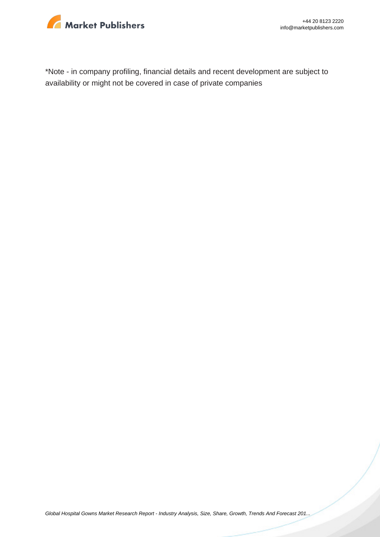

\*Note - in company profiling, financial details and recent development are subject to availability or might not be covered in case of private companies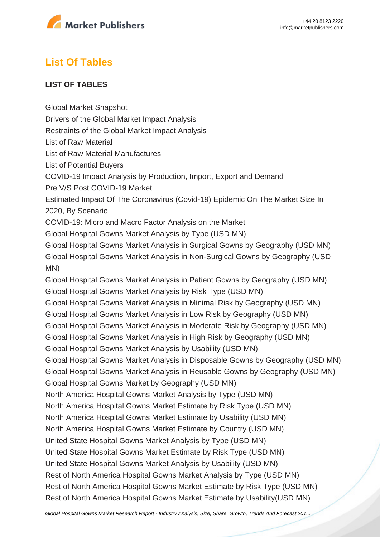

## **List Of Tables**

#### **LIST OF TABLES**

Global Market Snapshot

Drivers of the Global Market Impact Analysis

Restraints of the Global Market Impact Analysis

List of Raw Material

List of Raw Material Manufactures

List of Potential Buyers

COVID-19 Impact Analysis by Production, Import, Export and Demand

Pre V/S Post COVID-19 Market

Estimated Impact Of The Coronavirus (Covid-19) Epidemic On The Market Size In 2020, By Scenario

COVID-19: Micro and Macro Factor Analysis on the Market

Global Hospital Gowns Market Analysis by Type (USD MN)

Global Hospital Gowns Market Analysis in Surgical Gowns by Geography (USD MN) Global Hospital Gowns Market Analysis in Non-Surgical Gowns by Geography (USD MN)

Global Hospital Gowns Market Analysis in Patient Gowns by Geography (USD MN) Global Hospital Gowns Market Analysis by Risk Type (USD MN) Global Hospital Gowns Market Analysis in Minimal Risk by Geography (USD MN) Global Hospital Gowns Market Analysis in Low Risk by Geography (USD MN) Global Hospital Gowns Market Analysis in Moderate Risk by Geography (USD MN) Global Hospital Gowns Market Analysis in High Risk by Geography (USD MN) Global Hospital Gowns Market Analysis by Usability (USD MN) Global Hospital Gowns Market Analysis in Disposable Gowns by Geography (USD MN) Global Hospital Gowns Market Analysis in Reusable Gowns by Geography (USD MN) Global Hospital Gowns Market by Geography (USD MN) North America Hospital Gowns Market Analysis by Type (USD MN) North America Hospital Gowns Market Estimate by Risk Type (USD MN) North America Hospital Gowns Market Estimate by Usability (USD MN) North America Hospital Gowns Market Estimate by Country (USD MN) United State Hospital Gowns Market Analysis by Type (USD MN) United State Hospital Gowns Market Estimate by Risk Type (USD MN) United State Hospital Gowns Market Analysis by Usability (USD MN) Rest of North America Hospital Gowns Market Analysis by Type (USD MN) Rest of North America Hospital Gowns Market Estimate by Risk Type (USD MN) Rest of North America Hospital Gowns Market Estimate by Usability(USD MN)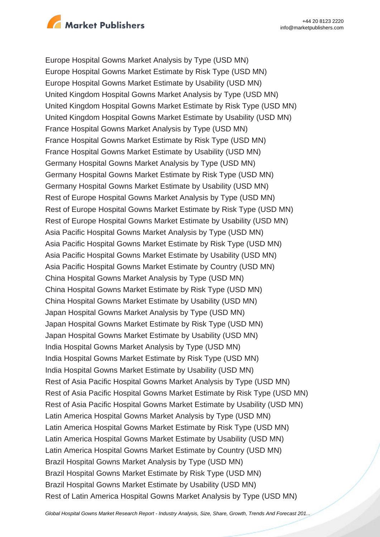

Europe Hospital Gowns Market Analysis by Type (USD MN) Europe Hospital Gowns Market Estimate by Risk Type (USD MN) Europe Hospital Gowns Market Estimate by Usability (USD MN) United Kingdom Hospital Gowns Market Analysis by Type (USD MN) United Kingdom Hospital Gowns Market Estimate by Risk Type (USD MN) United Kingdom Hospital Gowns Market Estimate by Usability (USD MN) France Hospital Gowns Market Analysis by Type (USD MN) France Hospital Gowns Market Estimate by Risk Type (USD MN) France Hospital Gowns Market Estimate by Usability (USD MN) Germany Hospital Gowns Market Analysis by Type (USD MN) Germany Hospital Gowns Market Estimate by Risk Type (USD MN) Germany Hospital Gowns Market Estimate by Usability (USD MN) Rest of Europe Hospital Gowns Market Analysis by Type (USD MN) Rest of Europe Hospital Gowns Market Estimate by Risk Type (USD MN) Rest of Europe Hospital Gowns Market Estimate by Usability (USD MN) Asia Pacific Hospital Gowns Market Analysis by Type (USD MN) Asia Pacific Hospital Gowns Market Estimate by Risk Type (USD MN) Asia Pacific Hospital Gowns Market Estimate by Usability (USD MN) Asia Pacific Hospital Gowns Market Estimate by Country (USD MN) China Hospital Gowns Market Analysis by Type (USD MN) China Hospital Gowns Market Estimate by Risk Type (USD MN) China Hospital Gowns Market Estimate by Usability (USD MN) Japan Hospital Gowns Market Analysis by Type (USD MN) Japan Hospital Gowns Market Estimate by Risk Type (USD MN) Japan Hospital Gowns Market Estimate by Usability (USD MN) India Hospital Gowns Market Analysis by Type (USD MN) India Hospital Gowns Market Estimate by Risk Type (USD MN) India Hospital Gowns Market Estimate by Usability (USD MN) Rest of Asia Pacific Hospital Gowns Market Analysis by Type (USD MN) Rest of Asia Pacific Hospital Gowns Market Estimate by Risk Type (USD MN) Rest of Asia Pacific Hospital Gowns Market Estimate by Usability (USD MN) Latin America Hospital Gowns Market Analysis by Type (USD MN) Latin America Hospital Gowns Market Estimate by Risk Type (USD MN) Latin America Hospital Gowns Market Estimate by Usability (USD MN) Latin America Hospital Gowns Market Estimate by Country (USD MN) Brazil Hospital Gowns Market Analysis by Type (USD MN) Brazil Hospital Gowns Market Estimate by Risk Type (USD MN) Brazil Hospital Gowns Market Estimate by Usability (USD MN) Rest of Latin America Hospital Gowns Market Analysis by Type (USD MN)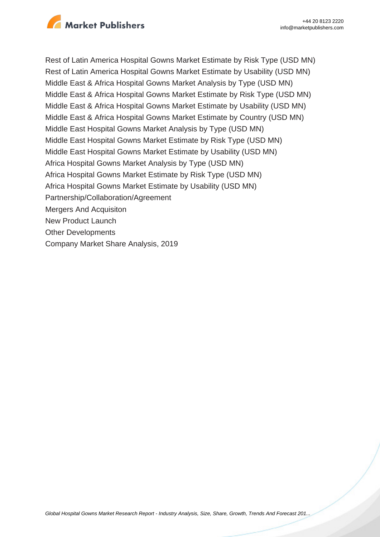

Rest of Latin America Hospital Gowns Market Estimate by Risk Type (USD MN) Rest of Latin America Hospital Gowns Market Estimate by Usability (USD MN) Middle East & Africa Hospital Gowns Market Analysis by Type (USD MN) Middle East & Africa Hospital Gowns Market Estimate by Risk Type (USD MN) Middle East & Africa Hospital Gowns Market Estimate by Usability (USD MN) Middle East & Africa Hospital Gowns Market Estimate by Country (USD MN) Middle East Hospital Gowns Market Analysis by Type (USD MN) Middle East Hospital Gowns Market Estimate by Risk Type (USD MN) Middle East Hospital Gowns Market Estimate by Usability (USD MN) Africa Hospital Gowns Market Analysis by Type (USD MN) Africa Hospital Gowns Market Estimate by Risk Type (USD MN) Africa Hospital Gowns Market Estimate by Usability (USD MN) Partnership/Collaboration/Agreement Mergers And Acquisiton New Product Launch Other Developments Company Market Share Analysis, 2019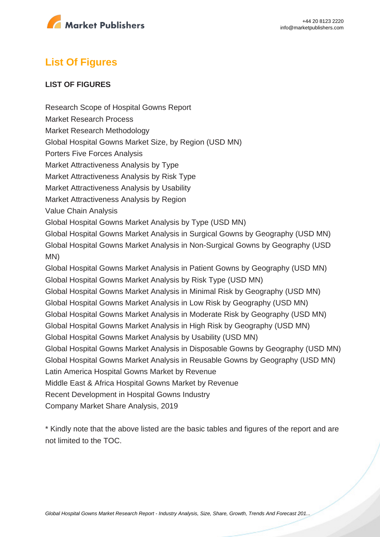

## **List Of Figures**

#### **LIST OF FIGURES**

Research Scope of Hospital Gowns Report Market Research Process Market Research Methodology Global Hospital Gowns Market Size, by Region (USD MN) Porters Five Forces Analysis Market Attractiveness Analysis by Type Market Attractiveness Analysis by Risk Type Market Attractiveness Analysis by Usability Market Attractiveness Analysis by Region Value Chain Analysis Global Hospital Gowns Market Analysis by Type (USD MN) Global Hospital Gowns Market Analysis in Surgical Gowns by Geography (USD MN) Global Hospital Gowns Market Analysis in Non-Surgical Gowns by Geography (USD MN) Global Hospital Gowns Market Analysis in Patient Gowns by Geography (USD MN) Global Hospital Gowns Market Analysis by Risk Type (USD MN) Global Hospital Gowns Market Analysis in Minimal Risk by Geography (USD MN) Global Hospital Gowns Market Analysis in Low Risk by Geography (USD MN) Global Hospital Gowns Market Analysis in Moderate Risk by Geography (USD MN) Global Hospital Gowns Market Analysis in High Risk by Geography (USD MN) Global Hospital Gowns Market Analysis by Usability (USD MN) Global Hospital Gowns Market Analysis in Disposable Gowns by Geography (USD MN) Global Hospital Gowns Market Analysis in Reusable Gowns by Geography (USD MN) Latin America Hospital Gowns Market by Revenue Middle East & Africa Hospital Gowns Market by Revenue Recent Development in Hospital Gowns Industry Company Market Share Analysis, 2019

\* Kindly note that the above listed are the basic tables and figures of the report and are not limited to the TOC.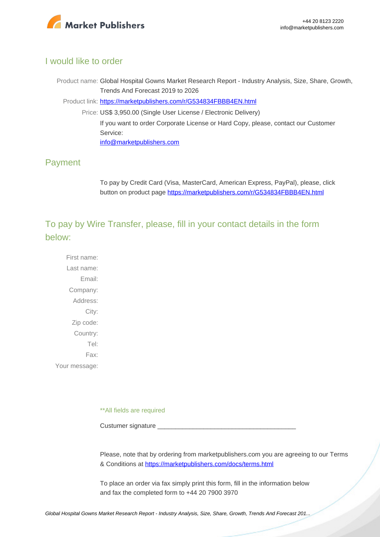

#### I would like to order

Product name: Global Hospital Gowns Market Research Report - Industry Analysis, Size, Share, Growth, Trends And Forecast 2019 to 2026

Product link: [https://marketpublishers.com/r/G534834FBBB4EN.html](https://marketpublishers.com/report/healthcare/hospital/global-hospital-gowns-market-research-report-industry-analysis-size-share-growth-trends-n-forecast-2019-to-2026.html)

Price: US\$ 3,950.00 (Single User License / Electronic Delivery) If you want to order Corporate License or Hard Copy, please, contact our Customer Service: [info@marketpublishers.com](mailto:info@marketpublishers.com)

## Payment

To pay by Credit Card (Visa, MasterCard, American Express, PayPal), please, click button on product page [https://marketpublishers.com/r/G534834FBBB4EN.html](https://marketpublishers.com/report/healthcare/hospital/global-hospital-gowns-market-research-report-industry-analysis-size-share-growth-trends-n-forecast-2019-to-2026.html)

To pay by Wire Transfer, please, fill in your contact details in the form below:

First name: Last name: Email: Company: Address: City: Zip code: Country: Tel: Fax: Your message:

\*\*All fields are required

Custumer signature

Please, note that by ordering from marketpublishers.com you are agreeing to our Terms & Conditions at<https://marketpublishers.com/docs/terms.html>

To place an order via fax simply print this form, fill in the information below and fax the completed form to +44 20 7900 3970